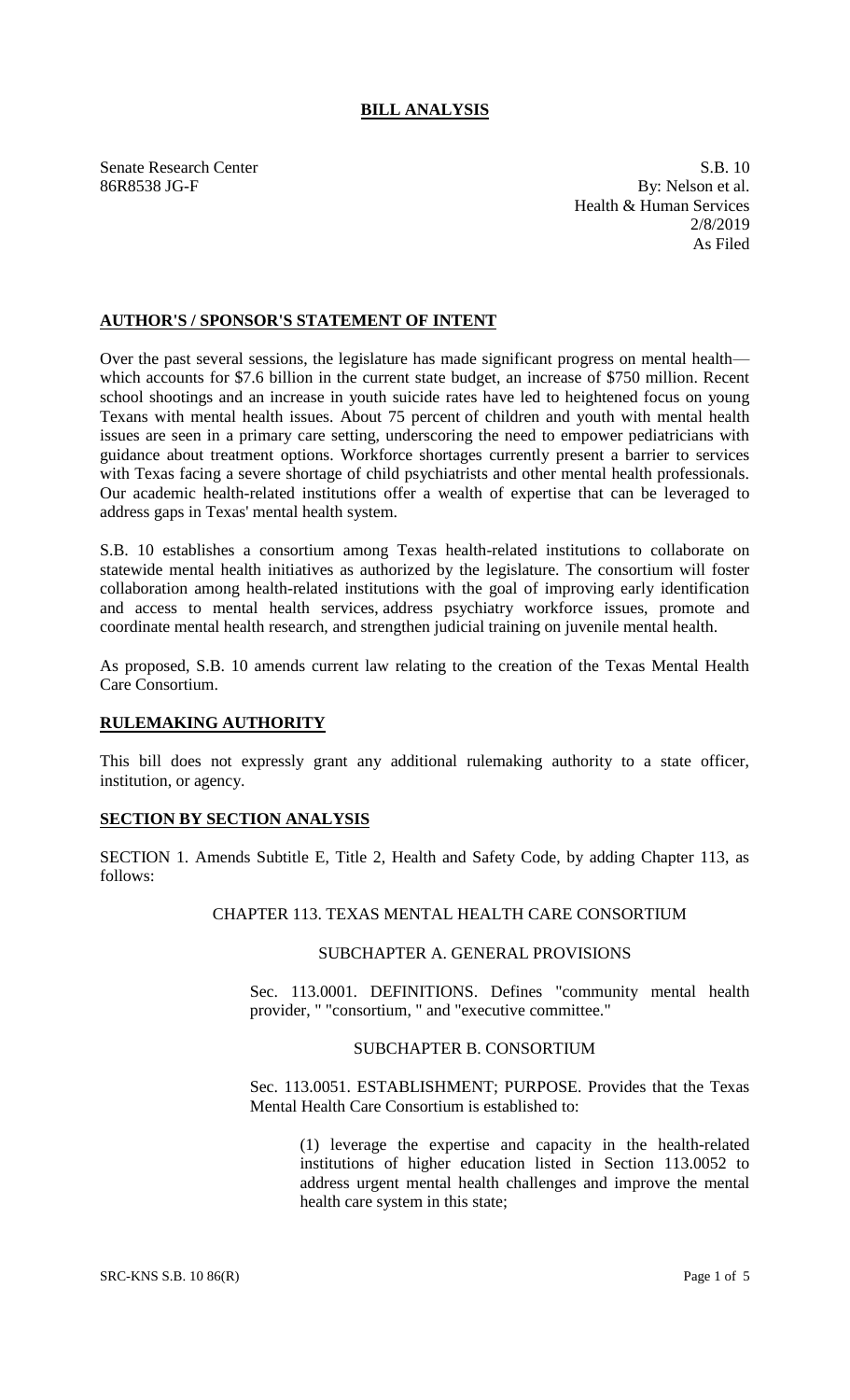# **BILL ANALYSIS**

Senate Research Center S.B. 10 86R8538 JG-F By: Nelson et al. Health & Human Services 2/8/2019 As Filed

# **AUTHOR'S / SPONSOR'S STATEMENT OF INTENT**

Over the past several sessions, the legislature has made significant progress on mental health which accounts for \$7.6 billion in the current state budget, an increase of \$750 million. Recent school shootings and an increase in youth suicide rates have led to heightened focus on young Texans with mental health issues. About 75 percent of children and youth with mental health issues are seen in a primary care setting, underscoring the need to empower pediatricians with guidance about treatment options. Workforce shortages currently present a barrier to services with Texas facing a severe shortage of child psychiatrists and other mental health professionals. Our academic health-related institutions offer a wealth of expertise that can be leveraged to address gaps in Texas' mental health system.

S.B. 10 establishes a consortium among Texas health-related institutions to collaborate on statewide mental health initiatives as authorized by the legislature. The consortium will foster collaboration among health-related institutions with the goal of improving early identification and access to mental health services, address psychiatry workforce issues, promote and coordinate mental health research, and strengthen judicial training on juvenile mental health.

As proposed, S.B. 10 amends current law relating to the creation of the Texas Mental Health Care Consortium.

## **RULEMAKING AUTHORITY**

This bill does not expressly grant any additional rulemaking authority to a state officer, institution, or agency.

## **SECTION BY SECTION ANALYSIS**

SECTION 1. Amends Subtitle E, Title 2, Health and Safety Code, by adding Chapter 113, as follows:

#### CHAPTER 113. TEXAS MENTAL HEALTH CARE CONSORTIUM

#### SUBCHAPTER A. GENERAL PROVISIONS

Sec. 113.0001. DEFINITIONS. Defines "community mental health provider, " "consortium, " and "executive committee."

### SUBCHAPTER B. CONSORTIUM

Sec. 113.0051. ESTABLISHMENT; PURPOSE. Provides that the Texas Mental Health Care Consortium is established to:

(1) leverage the expertise and capacity in the health-related institutions of higher education listed in Section 113.0052 to address urgent mental health challenges and improve the mental health care system in this state;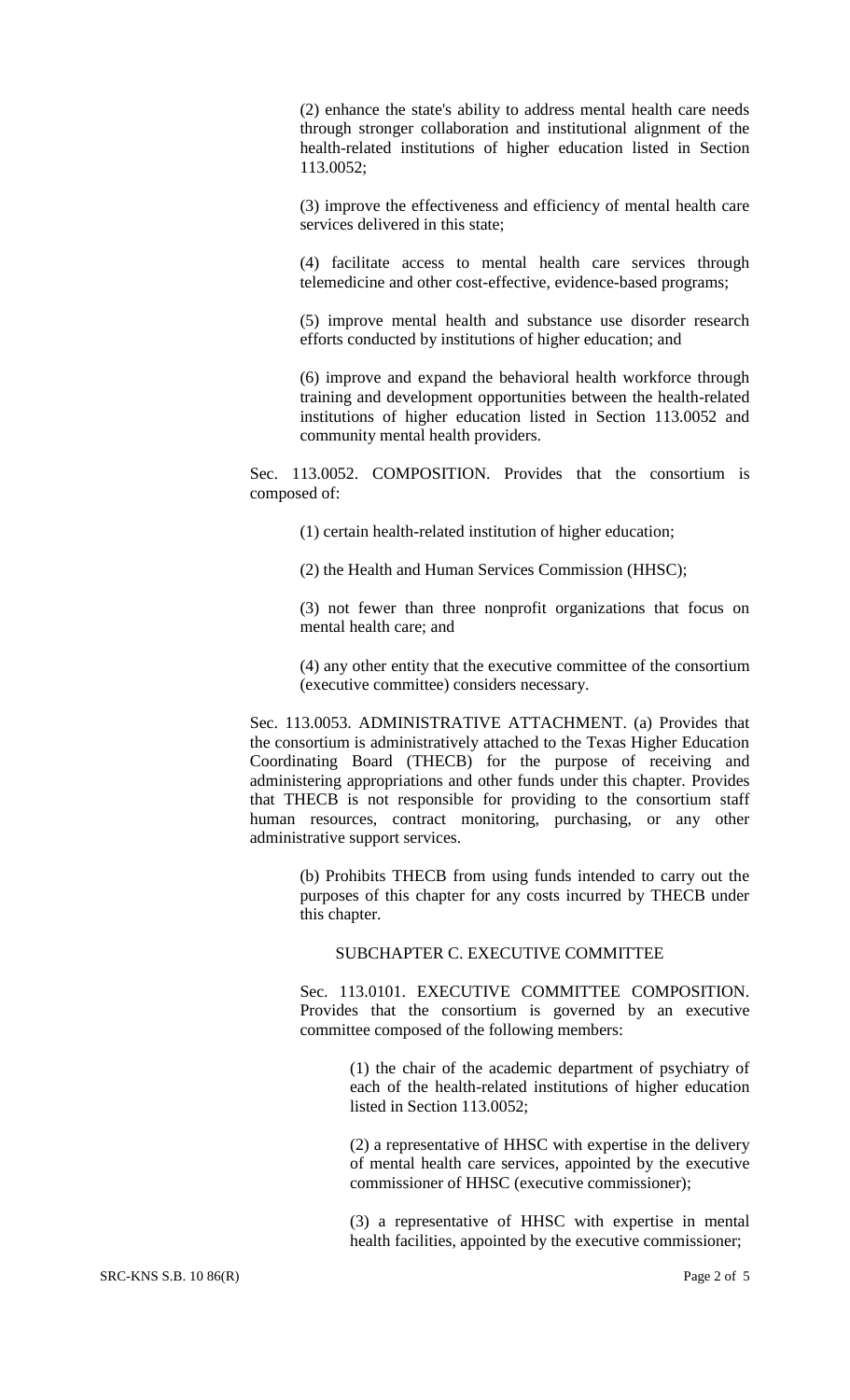(2) enhance the state's ability to address mental health care needs through stronger collaboration and institutional alignment of the health-related institutions of higher education listed in Section 113.0052;

(3) improve the effectiveness and efficiency of mental health care services delivered in this state;

(4) facilitate access to mental health care services through telemedicine and other cost-effective, evidence-based programs;

(5) improve mental health and substance use disorder research efforts conducted by institutions of higher education; and

(6) improve and expand the behavioral health workforce through training and development opportunities between the health-related institutions of higher education listed in Section 113.0052 and community mental health providers.

Sec. 113.0052. COMPOSITION. Provides that the consortium is composed of:

(1) certain health-related institution of higher education;

(2) the Health and Human Services Commission (HHSC);

(3) not fewer than three nonprofit organizations that focus on mental health care; and

(4) any other entity that the executive committee of the consortium (executive committee) considers necessary.

Sec. 113.0053. ADMINISTRATIVE ATTACHMENT. (a) Provides that the consortium is administratively attached to the Texas Higher Education Coordinating Board (THECB) for the purpose of receiving and administering appropriations and other funds under this chapter. Provides that THECB is not responsible for providing to the consortium staff human resources, contract monitoring, purchasing, or any other administrative support services.

> (b) Prohibits THECB from using funds intended to carry out the purposes of this chapter for any costs incurred by THECB under this chapter.

## SUBCHAPTER C. EXECUTIVE COMMITTEE

Sec. 113.0101. EXECUTIVE COMMITTEE COMPOSITION. Provides that the consortium is governed by an executive committee composed of the following members:

> (1) the chair of the academic department of psychiatry of each of the health-related institutions of higher education listed in Section 113.0052;

> (2) a representative of HHSC with expertise in the delivery of mental health care services, appointed by the executive commissioner of HHSC (executive commissioner);

> (3) a representative of HHSC with expertise in mental health facilities, appointed by the executive commissioner;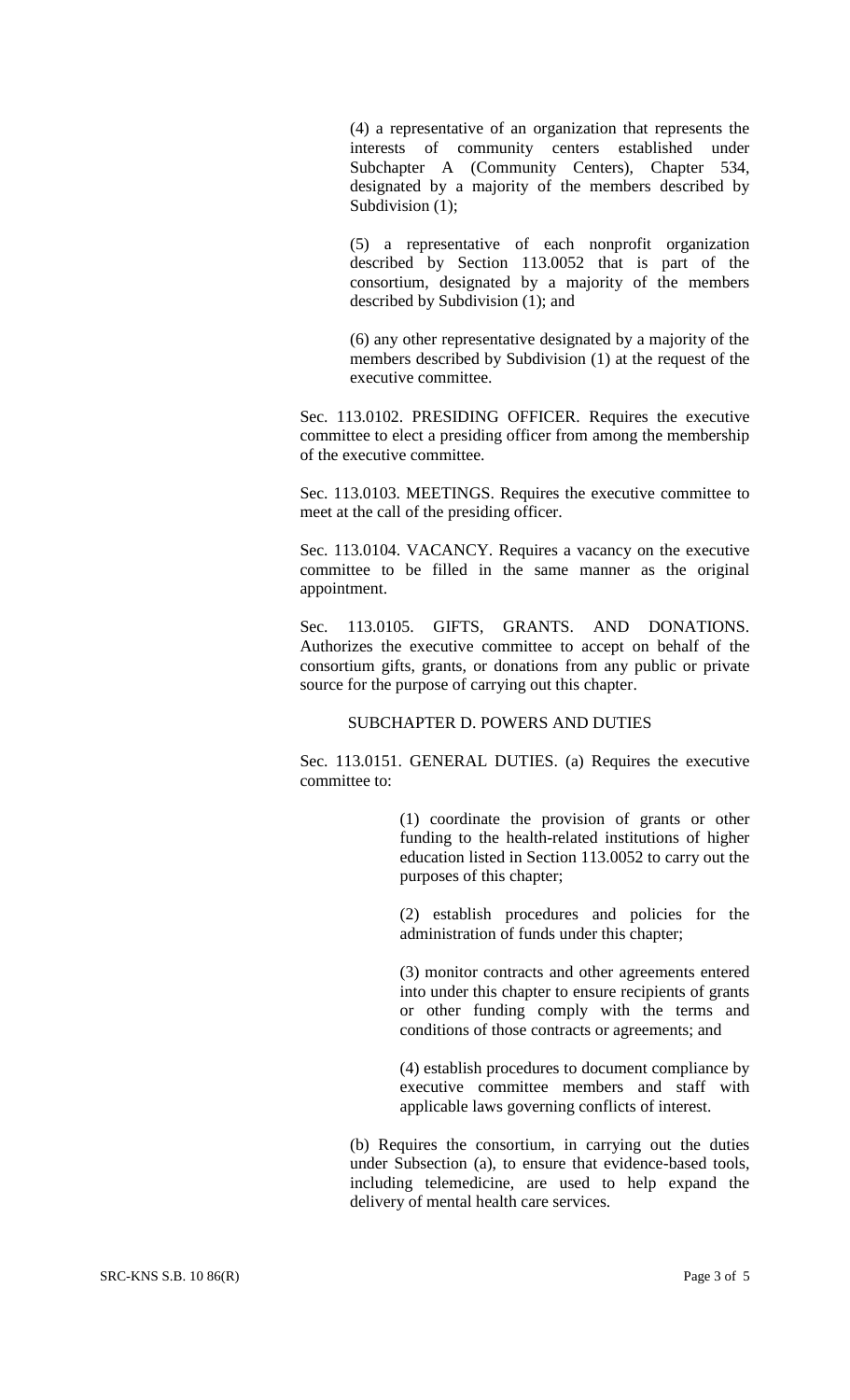(4) a representative of an organization that represents the interests of community centers established under Subchapter A (Community Centers), Chapter 534, designated by a majority of the members described by Subdivision (1);

(5) a representative of each nonprofit organization described by Section 113.0052 that is part of the consortium, designated by a majority of the members described by Subdivision (1); and

(6) any other representative designated by a majority of the members described by Subdivision (1) at the request of the executive committee.

Sec. 113.0102. PRESIDING OFFICER. Requires the executive committee to elect a presiding officer from among the membership of the executive committee.

Sec. 113.0103. MEETINGS. Requires the executive committee to meet at the call of the presiding officer.

Sec. 113.0104. VACANCY. Requires a vacancy on the executive committee to be filled in the same manner as the original appointment.

Sec. 113.0105. GIFTS, GRANTS. AND DONATIONS. Authorizes the executive committee to accept on behalf of the consortium gifts, grants, or donations from any public or private source for the purpose of carrying out this chapter.

#### SUBCHAPTER D. POWERS AND DUTIES

Sec. 113.0151. GENERAL DUTIES. (a) Requires the executive committee to:

> (1) coordinate the provision of grants or other funding to the health-related institutions of higher education listed in Section 113.0052 to carry out the purposes of this chapter;

> (2) establish procedures and policies for the administration of funds under this chapter;

> (3) monitor contracts and other agreements entered into under this chapter to ensure recipients of grants or other funding comply with the terms and conditions of those contracts or agreements; and

> (4) establish procedures to document compliance by executive committee members and staff with applicable laws governing conflicts of interest.

(b) Requires the consortium, in carrying out the duties under Subsection (a), to ensure that evidence-based tools, including telemedicine, are used to help expand the delivery of mental health care services.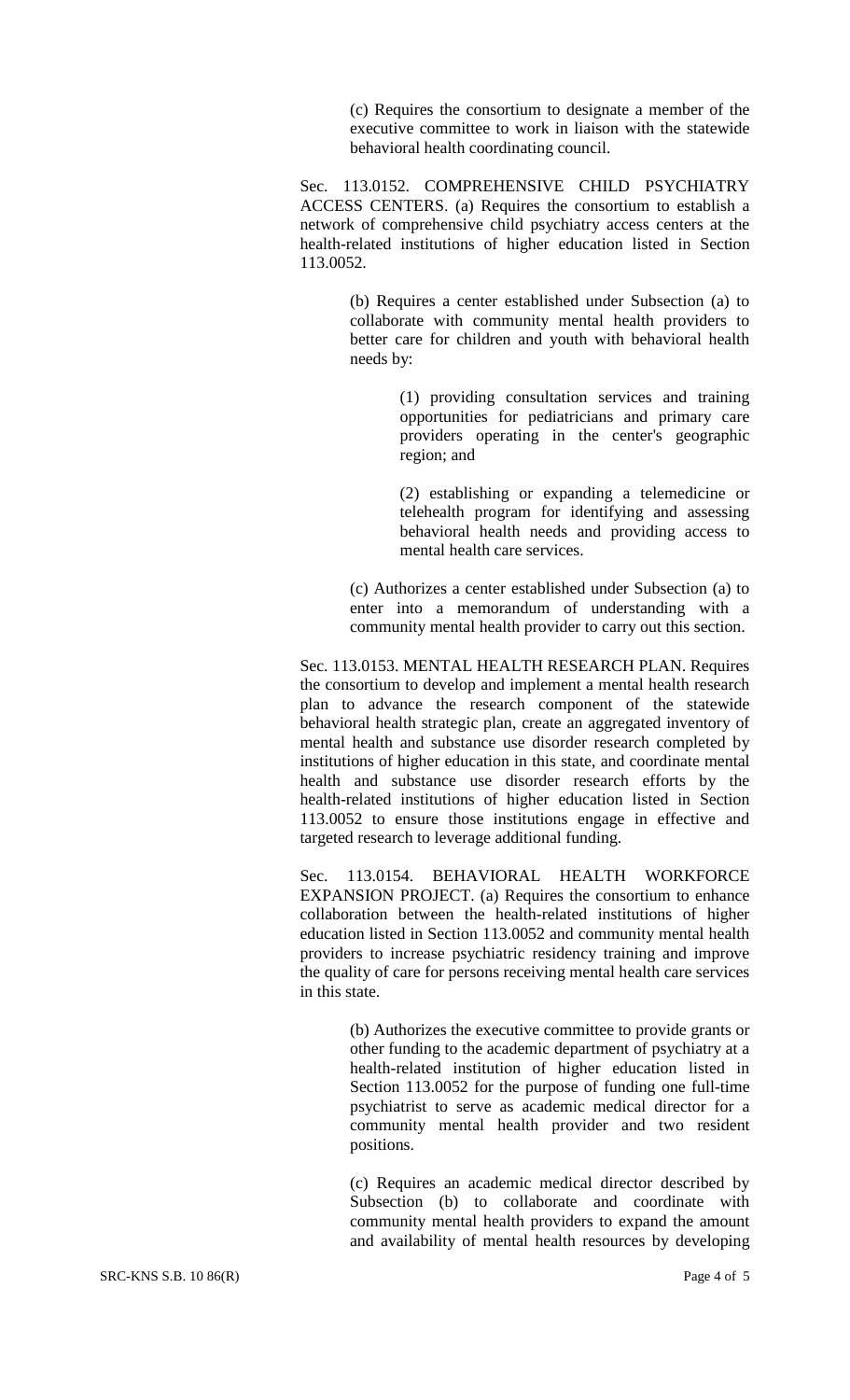(c) Requires the consortium to designate a member of the executive committee to work in liaison with the statewide behavioral health coordinating council.

Sec. 113.0152. COMPREHENSIVE CHILD PSYCHIATRY ACCESS CENTERS. (a) Requires the consortium to establish a network of comprehensive child psychiatry access centers at the health-related institutions of higher education listed in Section 113.0052.

> (b) Requires a center established under Subsection (a) to collaborate with community mental health providers to better care for children and youth with behavioral health needs by:

> > (1) providing consultation services and training opportunities for pediatricians and primary care providers operating in the center's geographic region; and

> > (2) establishing or expanding a telemedicine or telehealth program for identifying and assessing behavioral health needs and providing access to mental health care services.

(c) Authorizes a center established under Subsection (a) to enter into a memorandum of understanding with a community mental health provider to carry out this section.

Sec. 113.0153. MENTAL HEALTH RESEARCH PLAN. Requires the consortium to develop and implement a mental health research plan to advance the research component of the statewide behavioral health strategic plan, create an aggregated inventory of mental health and substance use disorder research completed by institutions of higher education in this state, and coordinate mental health and substance use disorder research efforts by the health-related institutions of higher education listed in Section 113.0052 to ensure those institutions engage in effective and targeted research to leverage additional funding.

Sec. 113.0154. BEHAVIORAL HEALTH WORKFORCE EXPANSION PROJECT. (a) Requires the consortium to enhance collaboration between the health-related institutions of higher education listed in Section 113.0052 and community mental health providers to increase psychiatric residency training and improve the quality of care for persons receiving mental health care services in this state.

> (b) Authorizes the executive committee to provide grants or other funding to the academic department of psychiatry at a health-related institution of higher education listed in Section 113.0052 for the purpose of funding one full-time psychiatrist to serve as academic medical director for a community mental health provider and two resident positions.

> (c) Requires an academic medical director described by Subsection (b) to collaborate and coordinate with community mental health providers to expand the amount and availability of mental health resources by developing